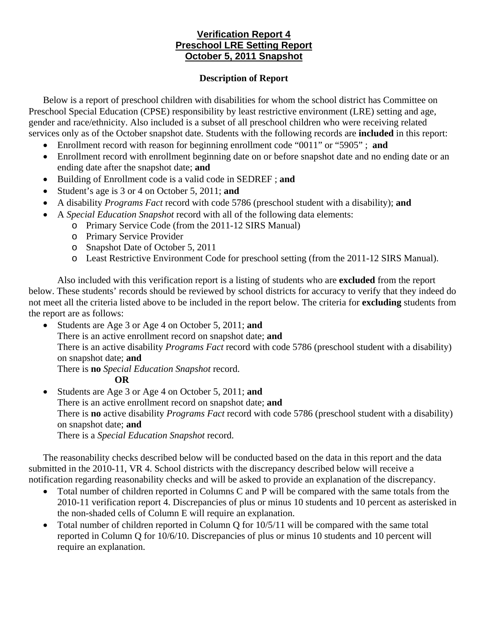# **Verification Report 4 Preschool LRE Setting Report October 5, 2011 Snapshot**

#### **Description of Report**

Below is a report of preschool children with disabilities for whom the school district has Committee on Preschool Special Education (CPSE) responsibility by least restrictive environment (LRE) setting and age, gender and race/ethnicity. Also included is a subset of all preschool children who were receiving related services only as of the October snapshot date. Students with the following records are **included** in this report:

- Enrollment record with reason for beginning enrollment code "0011" or "5905" ; **and**
- Enrollment record with enrollment beginning date on or before snapshot date and no ending date or an ending date after the snapshot date; **and**
- Building of Enrollment code is a valid code in SEDREF ; **and**
- Student's age is 3 or 4 on October 5, 2011; **and**
- A disability *Programs Fact* record with code 5786 (preschool student with a disability); **and**
- A *Special Education Snapshot* record with all of the following data elements:
	- o Primary Service Code (from the 2011-12 SIRS Manual)
	- o Primary Service Provider
	- o Snapshot Date of October 5, 2011
	- o Least Restrictive Environment Code for preschool setting (from the 2011-12 SIRS Manual).

Also included with this verification report is a listing of students who are **excluded** from the report below. These students' records should be reviewed by school districts for accuracy to verify that they indeed do not meet all the criteria listed above to be included in the report below. The criteria for **excluding** students from the report are as follows:

• Students are Age 3 or Age 4 on October 5, 2011; **and** There is an active enrollment record on snapshot date; **and**  There is an active disability *Programs Fact* record with code 5786 (preschool student with a disability) on snapshot date; **and** There is **no** *Special Education Snapshot* record.

#### **OR**

• Students are Age 3 or Age 4 on October 5, 2011; **and** There is an active enrollment record on snapshot date; **and** There is **no** active disability *Programs Fact* record with code 5786 (preschool student with a disability) on snapshot date; **and**  There is a *Special Education Snapshot* record.

The reasonability checks described below will be conducted based on the data in this report and the data submitted in the 2010-11, VR 4. School districts with the discrepancy described below will receive a notification regarding reasonability checks and will be asked to provide an explanation of the discrepancy.

- Total number of children reported in Columns C and P will be compared with the same totals from the 2010-11 verification report 4. Discrepancies of plus or minus 10 students and 10 percent as asterisked in the non-shaded cells of Column E will require an explanation.
- Total number of children reported in Column Q for  $10/5/11$  will be compared with the same total reported in Column Q for 10/6/10. Discrepancies of plus or minus 10 students and 10 percent will require an explanation.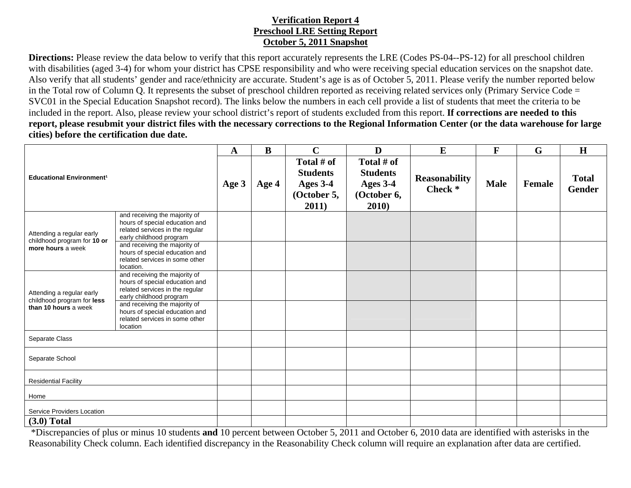## **Verification Report 4 Preschool LRE Setting Report October 5, 2011 Snapshot**

**Directions:** Please review the data below to verify that this report accurately represents the LRE (Codes PS-04--PS-12) for all preschool children with disabilities (aged 3-4) for whom your district has CPSE responsibility and who were receiving special education services on the snapshot date. Also verify that all students' gender and race/ethnicity are accurate. Student's age is as of October 5, 2011. Please verify the number reported below in the Total row of Column Q. It represents the subset of preschool children reported as receiving related services only (Primary Service Code = SVC01 in the Special Education Snapshot record). The links below the numbers in each cell provide a list of students that meet the criteria to be included in the report. Also, please review your school district's report of students excluded from this report. **If corrections are needed to this report, please resubmit your district files with the necessary corrections to the Regional Information Center (or the data warehouse for large cities) before the certification due date.**

| <b>Educational Environment<sup>1</sup></b>                                      |                                                                                                                               | A     | B     | $\mathbf C$                                                       | D                                                                 | E                                          | F           | $\mathbf G$ | H                             |
|---------------------------------------------------------------------------------|-------------------------------------------------------------------------------------------------------------------------------|-------|-------|-------------------------------------------------------------------|-------------------------------------------------------------------|--------------------------------------------|-------------|-------------|-------------------------------|
|                                                                                 |                                                                                                                               | Age 3 | Age 4 | Total # of<br><b>Students</b><br>Ages 3-4<br>(October 5,<br>2011) | Total # of<br><b>Students</b><br>Ages 3-4<br>(October 6,<br>2010) | <b>Reasonability</b><br>Check <sup>*</sup> | <b>Male</b> | Female      | <b>Total</b><br><b>Gender</b> |
| Attending a regular early<br>childhood program for 10 or<br>more hours a week   | and receiving the majority of<br>hours of special education and<br>related services in the regular<br>early childhood program |       |       |                                                                   |                                                                   |                                            |             |             |                               |
|                                                                                 | and receiving the majority of<br>hours of special education and<br>related services in some other<br>location.                |       |       |                                                                   |                                                                   |                                            |             |             |                               |
| Attending a regular early<br>childhood program for less<br>than 10 hours a week | and receiving the majority of<br>hours of special education and<br>related services in the regular<br>early childhood program |       |       |                                                                   |                                                                   |                                            |             |             |                               |
|                                                                                 | and receiving the majority of<br>hours of special education and<br>related services in some other<br>location                 |       |       |                                                                   |                                                                   |                                            |             |             |                               |
| Separate Class                                                                  |                                                                                                                               |       |       |                                                                   |                                                                   |                                            |             |             |                               |
| Separate School                                                                 |                                                                                                                               |       |       |                                                                   |                                                                   |                                            |             |             |                               |
| <b>Residential Facility</b>                                                     |                                                                                                                               |       |       |                                                                   |                                                                   |                                            |             |             |                               |
| Home                                                                            |                                                                                                                               |       |       |                                                                   |                                                                   |                                            |             |             |                               |
| Service Providers Location                                                      |                                                                                                                               |       |       |                                                                   |                                                                   |                                            |             |             |                               |
| $(3.0)$ Total                                                                   |                                                                                                                               |       |       |                                                                   |                                                                   |                                            |             |             |                               |

 \*Discrepancies of plus or minus 10 students **and** 10 percent between October 5, 2011 and October 6, 2010 data are identified with asterisks in the Reasonability Check column. Each identified discrepancy in the Reasonability Check column will require an explanation after data are certified.